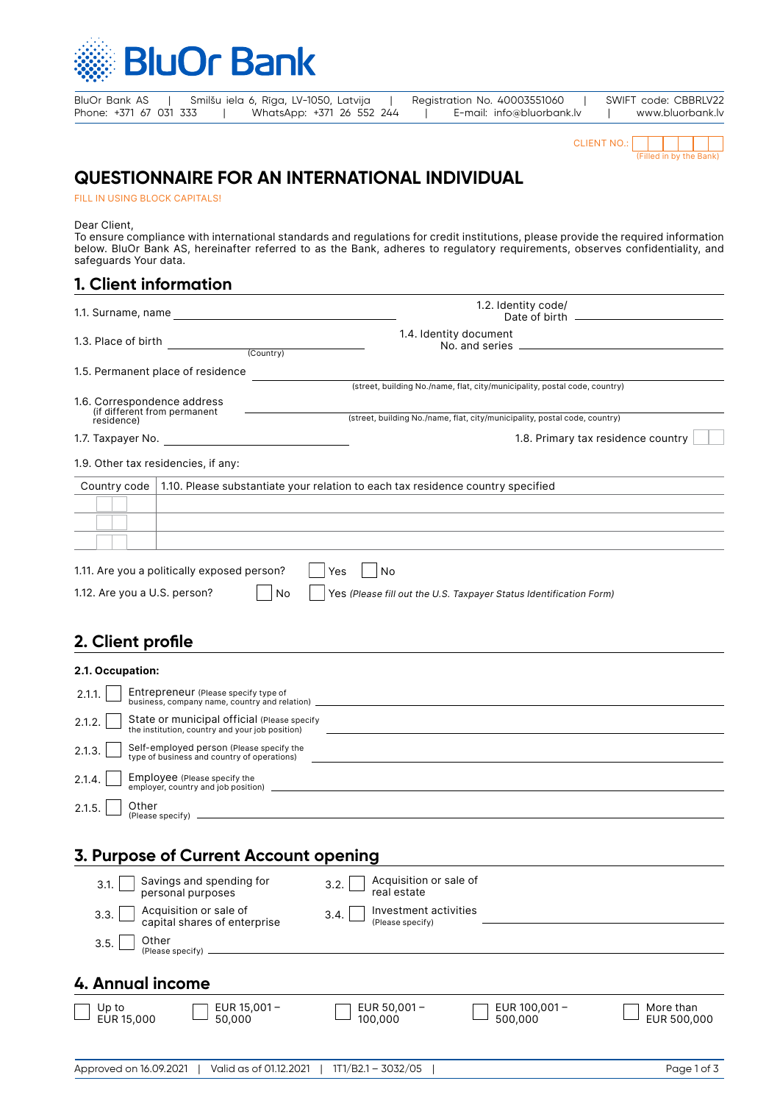

BluOr Bank AS | Smilšu iela 6, Rīga, LV-1050, Latvija | Registration No. 40003551060 | SWIFT code: CBBRLV22<br>Phone: +371 67 031 333 | WhatsApp: +371 26 552 244 | E-mail: info@bluorbank.lv | www.bluorbank.lv | WhatsApp: +371 26 552 244 | E-mail: info@bluorbank.lv | www.bluorbank.lv



# **QUESTIONNAIRE FOR AN INTERNATIONAL INDIVIDUAL**

FILL IN USING BLOCK CAPITALS!

Dear Client,

To ensure compliance with international standards and regulations for credit institutions, please provide the required information below. BluOr Bank AS, hereinafter referred to as the Bank, adheres to regulatory requirements, observes confidentiality, and safeguards Your data.

## **1. Client information**

| 1.1. Surname, name                                                                             | 1.2. Identity code/                                                               |
|------------------------------------------------------------------------------------------------|-----------------------------------------------------------------------------------|
| 1.3. Place of birth<br>(Country)                                                               | 1.4. Identity document                                                            |
|                                                                                                |                                                                                   |
| 1.5. Permanent place of residence                                                              |                                                                                   |
|                                                                                                | (street, building No./name, flat, city/municipality, postal code, country)        |
| 1.6. Correspondence address<br>(if different from permanent                                    | (street, building No./name, flat, city/municipality, postal code, country)        |
| residence)                                                                                     |                                                                                   |
|                                                                                                | 1.8. Primary tax residence country                                                |
| 1.9. Other tax residencies, if any:                                                            |                                                                                   |
| Country code   1.10. Please substantiate your relation to each tax residence country specified |                                                                                   |
|                                                                                                |                                                                                   |
|                                                                                                | ,我们也不能在这里的时候,我们也不能在这里的时候,我们也不能会在这里的时候,我们也不能会在这里的时候,我们也不能会在这里的时候,我们也不能会在这里的时候,我们也不 |
|                                                                                                |                                                                                   |
|                                                                                                |                                                                                   |
| 1.11. Are you a politically exposed person?<br>Yes                                             | No                                                                                |
| 1.12. Are you a U.S. person?<br>No                                                             | Yes (Please fill out the U.S. Taxpayer Status Identification Form)                |
|                                                                                                |                                                                                   |
| 2. Client profile                                                                              |                                                                                   |
| 2.1. Occupation:                                                                               |                                                                                   |
| Entrepreneur (Please specify type of<br>2.1.1.                                                 | business, company name, country and relation) __________________________________  |
| State or municipal official (please specify<br>0.10                                            |                                                                                   |

| 2.1.2. | State or municipal official (Please specify<br>the institution, country and your job position) |
|--------|------------------------------------------------------------------------------------------------|
|        | 2.1.3. Self-employed person (Please specify the type of business and country of operations)    |
| 2.1.4. | Employee (Please specify the<br>employer, country and job position)                            |
| 2.1.5. | <sup>1</sup> Other<br>(Please specify)                                                         |

## **3. Purpose of Current Account opening**

| 3.1.                | Savings and spending for<br>personal purposes          | 3.2. | Acquisition or sale of<br>real estate     |                            |                          |
|---------------------|--------------------------------------------------------|------|-------------------------------------------|----------------------------|--------------------------|
| 3.3.                | Acquisition or sale of<br>capital shares of enterprise | 3.4. | Investment activities<br>(Please specify) |                            |                          |
| Other<br>3.5.       | (Please specify).                                      |      |                                           |                            |                          |
| 4. Annual income    |                                                        |      |                                           |                            |                          |
| Up to<br>EUR 15,000 | EUR $15,001 -$<br>50.000                               |      | EUR $50,001 -$<br>100,000                 | EUR $100,001 -$<br>500.000 | More than<br>EUR 500,000 |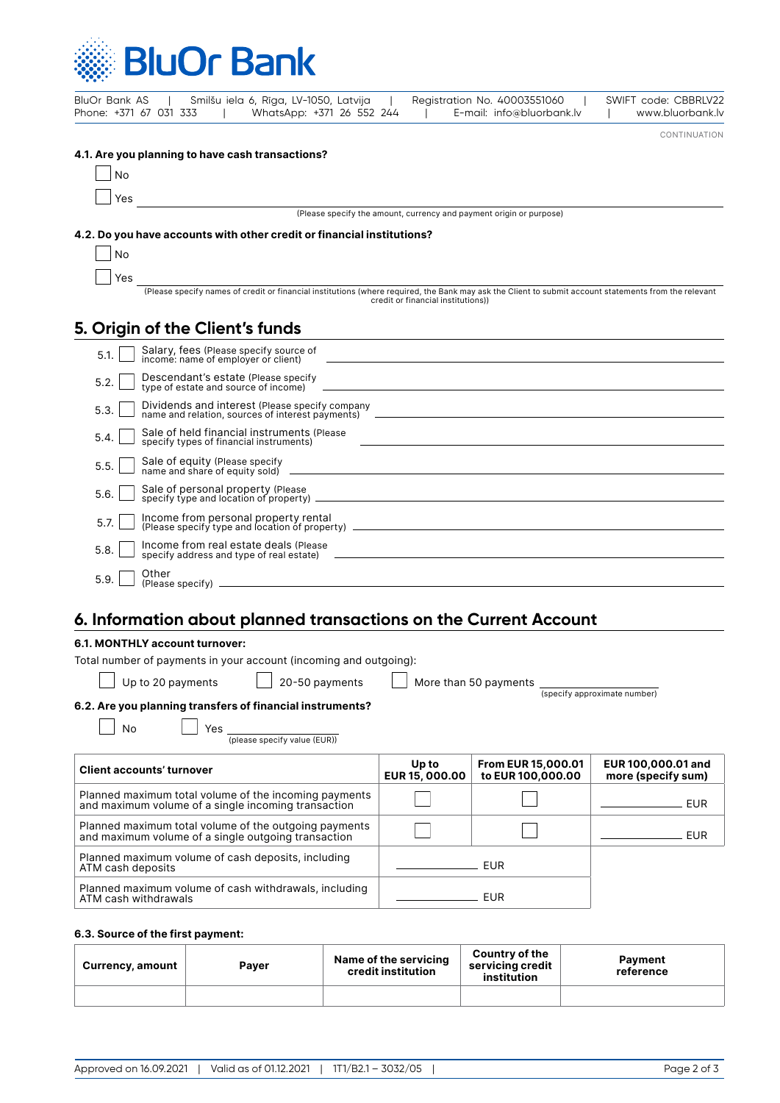

| Smilšu iela 6, Rīga, LV-1050, Latvija<br>BluOr Bank AS<br>WhatsApp: +371 26 552 244<br>Phone: +371 67 031 333 | Registration No. 40003551060<br>SWIFT code: CBBRLV22<br>E-mail: info@bluorbank.lv<br>www.bluorbank.lv                                                                                                                            |
|---------------------------------------------------------------------------------------------------------------|----------------------------------------------------------------------------------------------------------------------------------------------------------------------------------------------------------------------------------|
|                                                                                                               | CONTINUATION                                                                                                                                                                                                                     |
| 4.1. Are you planning to have cash transactions?                                                              |                                                                                                                                                                                                                                  |
| <b>No</b>                                                                                                     |                                                                                                                                                                                                                                  |
| Yes<br>(Please specify the amount, currency and payment origin or purpose)                                    |                                                                                                                                                                                                                                  |
|                                                                                                               |                                                                                                                                                                                                                                  |
| 4.2. Do you have accounts with other credit or financial institutions?                                        |                                                                                                                                                                                                                                  |
| <b>No</b>                                                                                                     |                                                                                                                                                                                                                                  |
| Yes                                                                                                           | (Please specify names of credit or financial institutions (where required, the Bank may ask the Client to submit account statements from the relevant                                                                            |
|                                                                                                               | credit or financial institutions))                                                                                                                                                                                               |
| 5. Origin of the Client's funds                                                                               | the control of the control of the control of the control of the control of the control of the control of the control of the control of the control of the control of the control of the control of the control of the control    |
| Salary, fees (Please specify source of<br>income: name of employer or client)<br>5.1.                         | and the control of the control of the control of the control of the control of the control of the control of the                                                                                                                 |
| Descendant's estate (Please specify<br>5.2.                                                                   |                                                                                                                                                                                                                                  |
| Dividends and interest (Please specify company<br>5.3.                                                        |                                                                                                                                                                                                                                  |
| Sale of held financial instruments (Please<br>5.4.<br>specify types of financial instruments)                 | <u> 1989 - Johann Stoff, deutscher Stoffen und der Stoffen und der Stoffen und der Stoffen und der Stoffen und der</u>                                                                                                           |
| 5.5.                                                                                                          |                                                                                                                                                                                                                                  |
| Sale of personal property (Please<br>5.6.                                                                     | لاست المستخدم المستخدم المستخدم المستخدم المستخدم المستخدم المستخدم المستخدم المستخدم المستخدم المستخدم المستخ<br>المستخدم المستخدم المستخدم المستخدم المستخدم المستخدم المستخدم المستخدم المستخدم المستخدم المستخدم المستخدم ال |
| Income from personal property rental<br>5.7.                                                                  |                                                                                                                                                                                                                                  |
| Income from real estate deals (Please<br>5.8.                                                                 |                                                                                                                                                                                                                                  |
| Other<br>5.9.                                                                                                 |                                                                                                                                                                                                                                  |

# **6. Information about planned transactions on the Current Account**

### **6.1. MONTHLY account turnover:**

| Total number of payments in your account (incoming and outgoing): |  |
|-------------------------------------------------------------------|--|
|                                                                   |  |

Up to 20 payments 20-50 payments More than 50 payments (specify approximate number)

#### **6.2. Are you planning transfers of financial instruments?**

 $N$ o  $\Box$  Yes  $\Box$  (please specify value (EUR))

| <b>Client accounts' turnover</b>                                                                             | Up to<br><b>EUR 15, 000.00</b> | <b>From EUR 15,000.01</b><br>to EUR 100,000.00 | EUR 100,000.01 and<br>more (specify sum) |
|--------------------------------------------------------------------------------------------------------------|--------------------------------|------------------------------------------------|------------------------------------------|
| Planned maximum total volume of the incoming payments<br>and maximum volume of a single incoming transaction |                                |                                                | FUR                                      |
| Planned maximum total volume of the outgoing payments<br>and maximum volume of a single outgoing transaction |                                |                                                | <b>FUR</b>                               |
| Planned maximum volume of cash deposits, including<br>ATM cash deposits                                      |                                | <b>FUR</b>                                     |                                          |
| Planned maximum volume of cash withdrawals, including<br>ATM cash withdrawals                                |                                | FUR                                            |                                          |

#### **6.3. Source of the first payment:**

| Currency, amount | Payer | Name of the servicing<br>credit institution | <b>Country of the</b><br>servicing credit<br>institution | Payment<br>reference |
|------------------|-------|---------------------------------------------|----------------------------------------------------------|----------------------|
|                  |       |                                             |                                                          |                      |